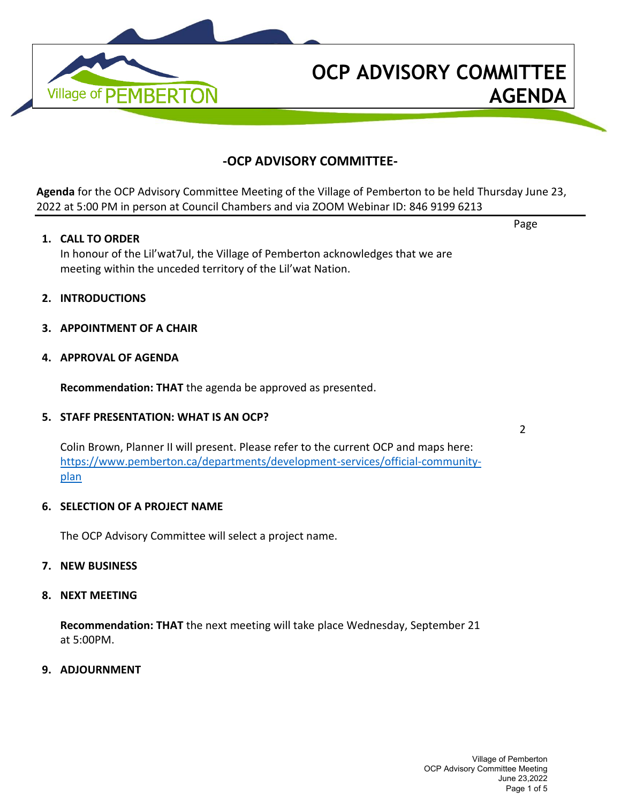

# **-OCP ADVISORY COMMITTEE-**

**Agenda** for the OCP Advisory Committee Meeting of the Village of Pemberton to be held Thursday June 23, 2022 at 5:00 PM in person at Council Chambers and via ZOOM Webinar ID: 846 9199 6213

#### **1. CALL TO ORDER**

In honour of the Lil'wat7ul, the Village of Pemberton acknowledges that we are meeting within the unceded territory of the Lil'wat Nation.

- **2. INTRODUCTIONS**
- **3. APPOINTMENT OF A CHAIR**

#### **4. APPROVAL OF AGENDA**

**Recommendation: THAT** the agenda be approved as presented.

#### **5. STAFF PRESENTATION: WHAT IS AN OCP?**

Colin Brown, Planner II will present. Please refer to the current OCP and maps here: [https://www.pemberton.ca/departments/development-services/official-community](https://www.pemberton.ca/departments/development-services/official-community-plan)[plan](https://www.pemberton.ca/departments/development-services/official-community-plan)

#### **6. SELECTION OF A PROJECT NAME**

The OCP Advisory Committee will select a project name.

#### **7. NEW BUSINESS**

#### **8. NEXT MEETING**

**Recommendation: THAT** the next meeting will take place Wednesday, September 21 at 5:00PM.

**9. ADJOURNMENT**

Village of Pemberton OCP Advisory Committee Meeting June 23,2022 Page 1 of 5

2

Page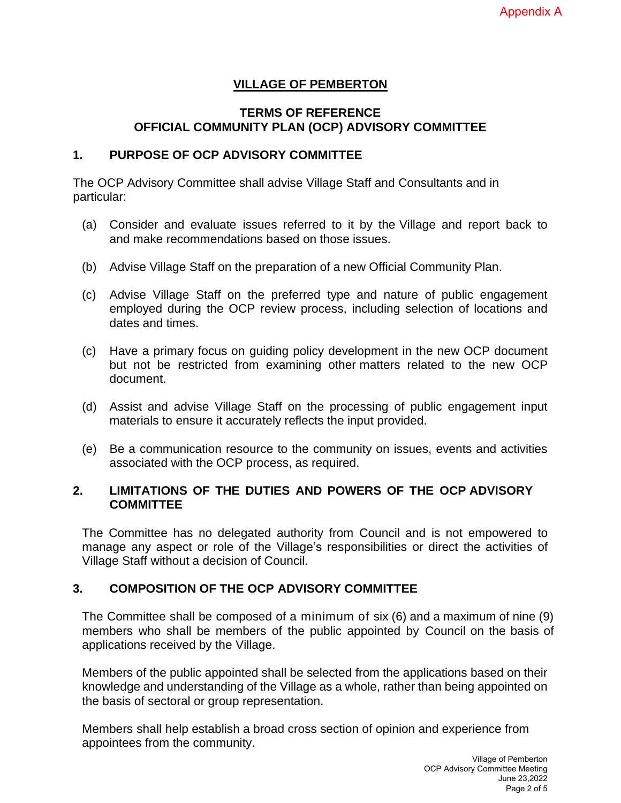# **VILLAGE OF PEMBERTON**

# **TERMS OF REFERENCE OFFICIAL COMMUNITY PLAN (OCP) ADVISORY COMMITTEE**

### **1. PURPOSE OF OCP ADVISORY COMMITTEE**

The OCP Advisory Committee shall advise Village Staff and Consultants and in particular:

- (a) Consider and evaluate issues referred to it by the Village and report back to and make recommendations based on those issues.
- (b) Advise Village Staff on the preparation of a new Official Community Plan.
- (c) Advise Village Staff on the preferred type and nature of public engagement employed during the OCP review process, including selection of locations and dates and times.
- (c) Have a primary focus on guiding policy development in the new OCP document but not be restricted from examining other matters related to the new OCP document.
- (d) Assist and advise Village Staff on the processing of public engagement input materials to ensure it accurately reflects the input provided.
- (e) Be a communication resource to the community on issues, events and activities associated with the OCP process, as required.

# **2. LIMITATIONS OF THE DUTIES AND POWERS OF THE OCP ADVISORY COMMITTEE**

The Committee has no delegated authority from Council and is not empowered to manage any aspect or role of the Village's responsibilities or direct the activities of Village Staff without a decision of Council.

# **3. COMPOSITION OF THE OCP ADVISORY COMMITTEE**

The Committee shall be composed of a minimum of six (6) and a maximum of nine (9) members who shall be members of the public appointed by Council on the basis of applications received by the Village.

Members of the public appointed shall be selected from the applications based on their knowledge and understanding of the Village as a whole, rather than being appointed on the basis of sectoral or group representation.

Members shall help establish a broad cross section of opinion and experience from appointees from the community.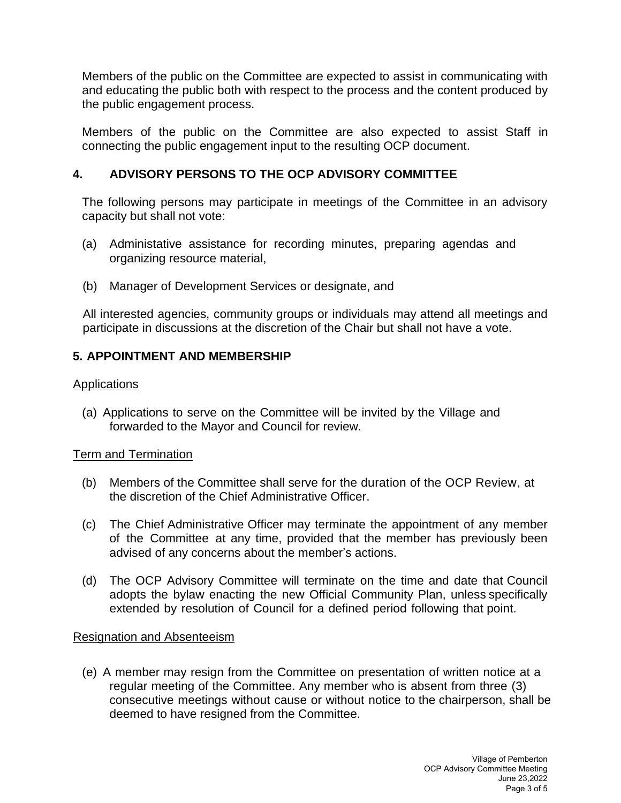Members of the public on the Committee are expected to assist in communicating with and educating the public both with respect to the process and the content produced by the public engagement process.

Members of the public on the Committee are also expected to assist Staff in connecting the public engagement input to the resulting OCP document.

# **4. ADVISORY PERSONS TO THE OCP ADVISORY COMMITTEE**

The following persons may participate in meetings of the Committee in an advisory capacity but shall not vote:

- (a) Administative assistance for recording minutes, preparing agendas and organizing resource material,
- (b) Manager of Development Services or designate, and

All interested agencies, community groups or individuals may attend all meetings and participate in discussions at the discretion of the Chair but shall not have a vote.

# **5. APPOINTMENT AND MEMBERSHIP**

# **Applications**

(a) Applications to serve on the Committee will be invited by the Village and forwarded to the Mayor and Council for review.

# Term and Termination

- (b) Members of the Committee shall serve for the duration of the OCP Review, at the discretion of the Chief Administrative Officer.
- (c) The Chief Administrative Officer may terminate the appointment of any member of the Committee at any time, provided that the member has previously been advised of any concerns about the member's actions.
- (d) The OCP Advisory Committee will terminate on the time and date that Council adopts the bylaw enacting the new Official Community Plan, unless specifically extended by resolution of Council for a defined period following that point.

# Resignation and Absenteeism

(e) A member may resign from the Committee on presentation of written notice at a regular meeting of the Committee. Any member who is absent from three (3) consecutive meetings without cause or without notice to the chairperson, shall be deemed to have resigned from the Committee.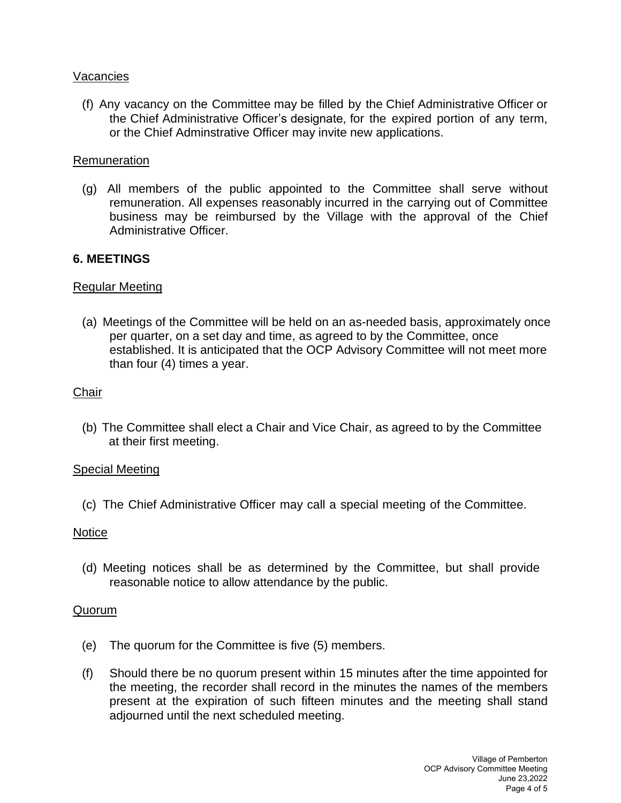# Vacancies

(f) Any vacancy on the Committee may be filled by the Chief Administrative Officer or the Chief Administrative Officer's designate, for the expired portion of any term, or the Chief Adminstrative Officer may invite new applications.

#### Remuneration

(g) All members of the public appointed to the Committee shall serve without remuneration. All expenses reasonably incurred in the carrying out of Committee business may be reimbursed by the Village with the approval of the Chief Administrative Officer.

### **6. MEETINGS**

### Regular Meeting

(a) Meetings of the Committee will be held on an as-needed basis, approximately once per quarter, on a set day and time, as agreed to by the Committee, once established. It is anticipated that the OCP Advisory Committee will not meet more than four (4) times a year.

### **Chair**

(b) The Committee shall elect a Chair and Vice Chair, as agreed to by the Committee at their first meeting.

#### Special Meeting

(c) The Chief Administrative Officer may call a special meeting of the Committee.

#### **Notice**

(d) Meeting notices shall be as determined by the Committee, but shall provide reasonable notice to allow attendance by the public.

#### Quorum

- (e) The quorum for the Committee is five (5) members.
- (f) Should there be no quorum present within 15 minutes after the time appointed for the meeting, the recorder shall record in the minutes the names of the members present at the expiration of such fifteen minutes and the meeting shall stand adjourned until the next scheduled meeting.